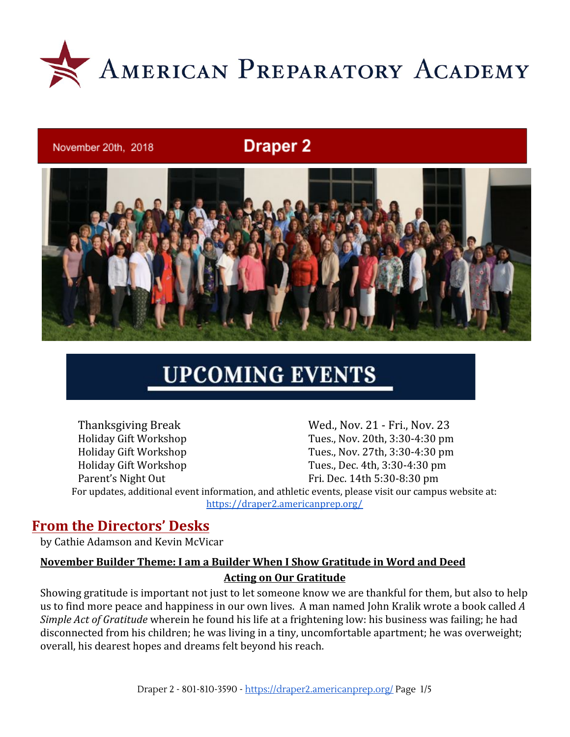

#### November 20th, 2018

## **Draper 2**



# **UPCOMING EVENTS**

Thanksgiving Break Wed., Nov. 21 - Fri., Nov. 23 Holiday Gift Workshop Tues., Nov. 20th, 3:30-4:30 pm Holiday Gift Workshop Tues., Nov. 27th, 3:30-4:30 pm Holiday Gift Workshop Tues., Dec. 4th, 3:30-4:30 pm Parent's Night Out Fri. Dec. 14th 5:30-8:30 pm For updates, additional event information, and athletic events, please visit our campus website at: <https://draper2.americanprep.org/>

#### **From the Directors' Desks**

by Cathie Adamson and Kevin McVicar

#### **November Builder Theme: I am a Builder When I Show Gratitude in Word and Deed Acting on Our Gratitude**

Showing gratitude is important not just to let someone know we are thankful for them, but also to help us to find more peace and happiness in our own lives. A man named John Kralik wrote a book called *A Simple Act of Gratitude* wherein he found his life at a frightening low: his business was failing; he had disconnected from his children; he was living in a tiny, uncomfortable apartment; he was overweight; overall, his dearest hopes and dreams felt beyond his reach.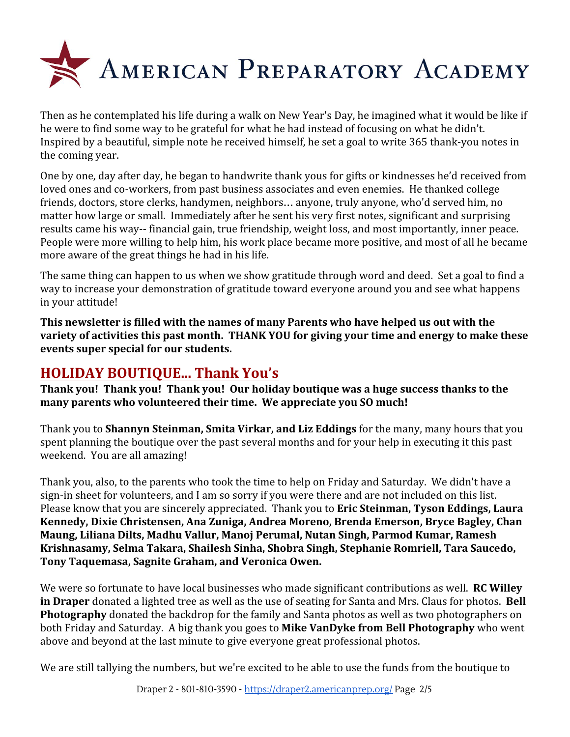

Then as he contemplated his life during a walk on New Year's Day, he imagined what it would be like if he were to find some way to be grateful for what he had instead of focusing on what he didn't. Inspired by a beautiful, simple note he received himself, he set a goal to write 365 thank-you notes in the coming year.

One by one, day after day, he began to handwrite thank yous for gifts or kindnesses he'd received from loved ones and co-workers, from past business associates and even enemies. He thanked college friends, doctors, store clerks, handymen, neighbors… anyone, truly anyone, who'd served him, no matter how large or small. Immediately after he sent his very first notes, significant and surprising results came his way-- financial gain, true friendship, weight loss, and most importantly, inner peace. People were more willing to help him, his work place became more positive, and most of all he became more aware of the great things he had in his life.

The same thing can happen to us when we show gratitude through word and deed. Set a goal to find a way to increase your demonstration of gratitude toward everyone around you and see what happens in your attitude!

**This newsletter is filled with the names of many Parents who have helped us out with the variety of activities this past month. THANK YOU for giving your time and energy to make these events super special for our students.**

### **HOLIDAY BOUTIQUE... Thank You's**

**Thank you! Thank you! Thank you! Our holiday boutique was a huge success thanks to the many parents who volunteered their time. We appreciate you SO much!**

Thank you to **Shannyn Steinman, Smita Virkar, and Liz Eddings** for the many, many hours that you spent planning the boutique over the past several months and for your help in executing it this past weekend. You are all amazing!

Thank you, also, to the parents who took the time to help on Friday and Saturday. We didn't have a sign-in sheet for volunteers, and I am so sorry if you were there and are not included on this list. Please know that you are sincerely appreciated. Thank you to **Eric Steinman, Tyson Eddings, Laura Kennedy, Dixie Christensen, Ana Zuniga, Andrea Moreno, Brenda Emerson, Bryce Bagley, Chan Maung, Liliana Dilts, Madhu Vallur, Manoj Perumal, Nutan Singh, Parmod Kumar, Ramesh Krishnasamy, Selma Takara, Shailesh Sinha, Shobra Singh, Stephanie Romriell, Tara Saucedo, Tony Taquemasa, Sagnite Graham, and Veronica Owen.**

We were so fortunate to have local businesses who made significant contributions as well. **RC Willey in Draper** donated a lighted tree as well as the use of seating for Santa and Mrs. Claus for photos. **Bell Photography** donated the backdrop for the family and Santa photos as well as two photographers on both Friday and Saturday. A big thank you goes to **Mike VanDyke from Bell Photography** who went above and beyond at the last minute to give everyone great professional photos.

We are still tallying the numbers, but we're excited to be able to use the funds from the boutique to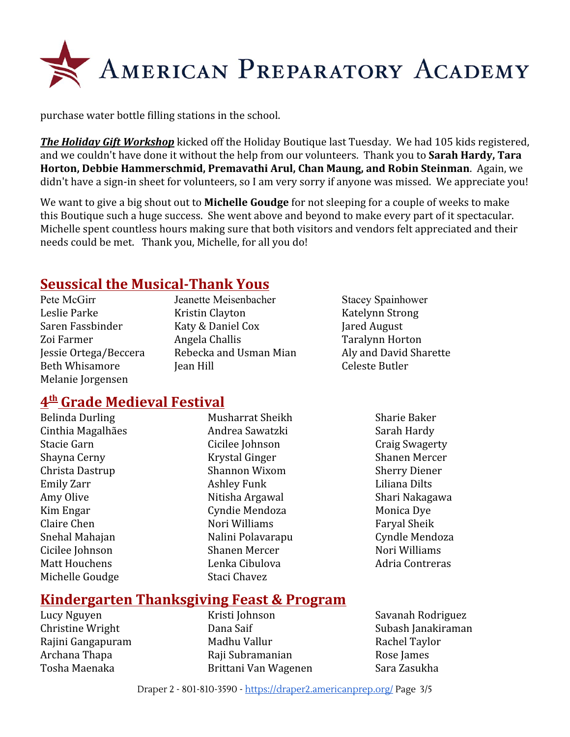

purchase water bottle filling stations in the school.

*The Holiday Gift Workshop* kicked off the Holiday Boutique last Tuesday. We had 105 kids registered, and we couldn't have done it without the help from our volunteers. Thank you to **Sarah Hardy, Tara Horton, Debbie Hammerschmid, Premavathi Arul, Chan Maung, and Robin Steinman**. Again, we didn't have a sign-in sheet for volunteers, so I am very sorry if anyone was missed. We appreciate you!

We want to give a big shout out to **Michelle Goudge** for not sleeping for a couple of weeks to make this Boutique such a huge success. She went above and beyond to make every part of it spectacular. Michelle spent countless hours making sure that both visitors and vendors felt appreciated and their needs could be met. Thank you, Michelle, for all you do!

#### **Seussical the Musical-Thank Yous**

Pete McGirr Jeanette Meisenbacher Stacey Spainhower Melanie Jorgensen

Leslie Parke Kristin Clayton Katelynn Strong Saren Fassbinder Katy & Daniel Cox Jared August Zoi Farmer Angela Challis Taralynn Horton Jessie Ortega/Beccera Rebecka and Usman Mian Aly and David Sharette Beth Whisamore Tean Hill The Celeste Butler

#### **4 th Grade Medieval Festival**

Belinda Durling Musharrat Sheikh Sharie Baker Michelle Goudge Staci Chavez

Cinthia Magalhães **Andrea Sawatzki** Sarah Hardy Stacie Garn Cicilee Johnson Craig Swagerty Shayna Cerny Krystal Ginger Shanen Mercer Christa Dastrup Shannon Wixom Sherry Diener Emily Zarr **Ashley Funk** Liliana Dilts Amy Olive **Nitisha Argawal** Shari Nakagawa Kim Engar Cyndie Mendoza Monica Dye Claire Chen **Nori Williams** Faryal Sheik Snehal Mahajan **Nalini Polavarapu** Cyndle Mendoza Cicilee Johnson Shanen Mercer Nori Williams Matt Houchens **Lenka Cibulova** Adria Contreras

#### **Kindergarten Thanksgiving Feast & Program**

Lucy Nguyen Kristi Johnson Savanah Rodriguez Christine Wright **Christian Christian Christian** Dana Saif Subash Janakiraman Rajini Gangapuram Madhu Vallur Rachel Taylor Archana Thapa **Raji Subramanian** Rose James Tosha Maenaka Brittani Van Wagenen Sara Zasukha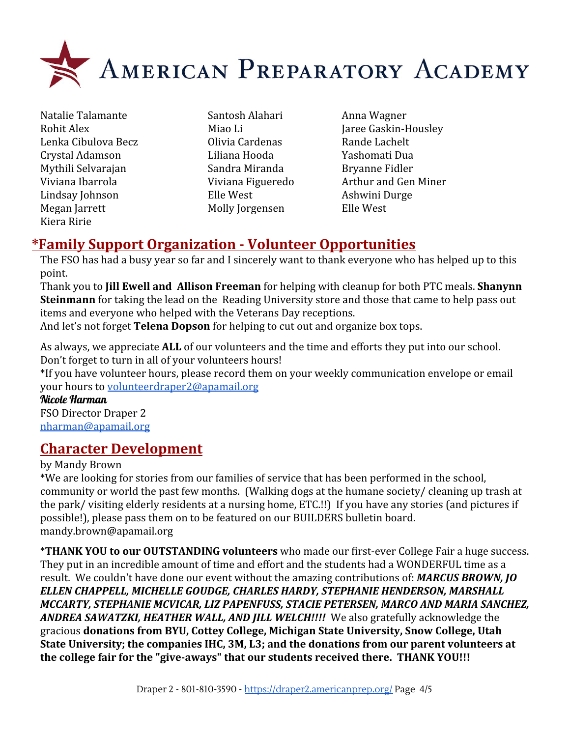

- Natalie Talamante Santosh Alahari Anna Wagner Lenka Cibulova Becz Olivia Cardenas Rande Lachelt Crystal Adamson Liliana Hooda Yashomati Dua Mythili Selvarajan Sandra Miranda Bryanne Fidler Lindsay Johnson Elle West Ashwini Durge Megan Jarrett Molly Jorgensen Elle West Kiera Ririe
	-
- Rohit Alex Miao Li Miao Li Jaree Gaskin-Housley Viviana Ibarrola Viviana Figueredo Arthur and Gen Miner

## **\*Family Support Organization - Volunteer Opportunities**

The FSO has had a busy year so far and I sincerely want to thank everyone who has helped up to this point.

Thank you to **Jill Ewell and Allison Freeman** for helping with cleanup for both PTC meals. **Shanynn Steinmann** for taking the lead on the Reading University store and those that came to help pass out items and everyone who helped with the Veterans Day receptions.

And let's not forget **Telena Dopson** for helping to cut out and organize box tops.

As always, we appreciate **ALL** of our volunteers and the time and efforts they put into our school. Don't forget to turn in all of your volunteers hours!

\*If you have volunteer hours, please record them on your weekly communication envelope or email your hours to [volunteerdraper2@apamail.org](mailto:volunteerdraper2@apamail.org)

Nicole Harman

FSO Director Draper 2 [nharman@apamail.org](mailto:nharman@apamail.org)

## **Character Development**

by Mandy Brown

\*We are looking for stories from our families of service that has been performed in the school, community or world the past few months. (Walking dogs at the humane society/ cleaning up trash at the park/ visiting elderly residents at a nursing home, ETC.!!) If you have any stories (and pictures if possible!), please pass them on to be featured on our BUILDERS bulletin board. mandy.brown@apamail.org

\***THANK YOU to our OUTSTANDING volunteers** who made our first-ever College Fair a huge success. They put in an incredible amount of time and effort and the students had a WONDERFUL time as a result. We couldn't have done our event without the amazing contributions of: *MARCUS BROWN, JO ELLEN CHAPPELL, MICHELLE GOUDGE, CHARLES HARDY, STEPHANIE HENDERSON, MARSHALL MCCARTY, STEPHANIE MCVICAR, LIZ PAPENFUSS, STACIE PETERSEN, MARCO AND MARIA SANCHEZ, ANDREA SAWATZKI, HEATHER WALL, AND JILL WELCH!!!!* We also gratefully acknowledge the gracious **donations from BYU, Cottey College, Michigan State University, Snow College, Utah State University; the companies IHC, 3M, L3; and the donations from our parent volunteers at the college fair for the "give-aways" that our students received there. THANK YOU!!!**